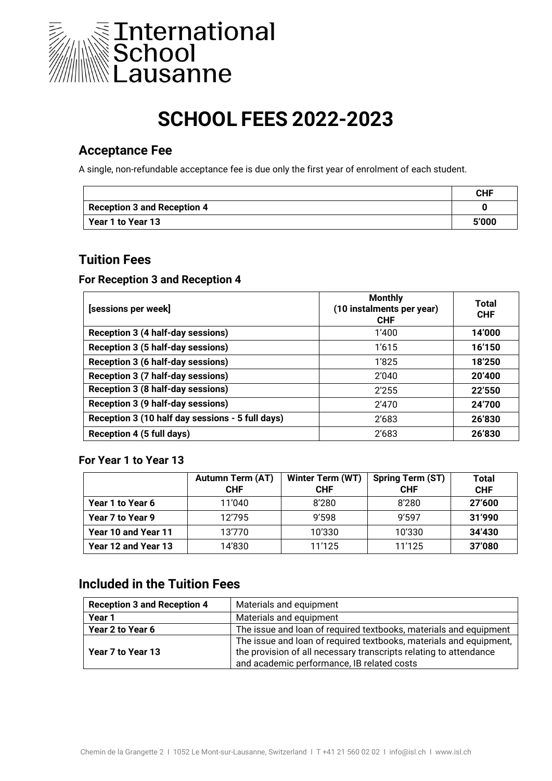

# **SCHOOL FEES 2022-2023**

#### **Acceptance Fee**

A single, non-refundable acceptance fee is due only the first year of enrolment of each student.

|                             | <b>CHF</b> |
|-----------------------------|------------|
| Reception 3 and Reception 4 |            |
| Year 1 to Year 13           | 5'000      |

#### **Tuition Fees**

#### **For Reception 3 and Reception 4**

| [sessions per week]                              | <b>Monthly</b><br>(10 instalments per year)<br><b>CHF</b> | <b>Total</b><br><b>CHF</b> |
|--------------------------------------------------|-----------------------------------------------------------|----------------------------|
| <b>Reception 3 (4 half-day sessions)</b>         | 1'400                                                     | 14'000                     |
| Reception 3 (5 half-day sessions)                | 1'615                                                     | 16'150                     |
| Reception 3 (6 half-day sessions)                | 1'825                                                     | 18'250                     |
| Reception 3 (7 half-day sessions)                | 2'040                                                     | 20'400                     |
| Reception 3 (8 half-day sessions)                | 2'255                                                     | 22'550                     |
| Reception 3 (9 half-day sessions)                | 2'470                                                     | 24'700                     |
| Reception 3 (10 half day sessions - 5 full days) | 2'683                                                     | 26'830                     |
| Reception 4 (5 full days)                        | 2'683                                                     | 26'830                     |

#### **For Year 1 to Year 13**

|                     | <b>Autumn Term (AT)</b><br><b>CHF</b> | <b>Winter Term (WT)</b><br><b>CHF</b> | Spring Term (ST)<br><b>CHF</b> | Total<br><b>CHF</b> |
|---------------------|---------------------------------------|---------------------------------------|--------------------------------|---------------------|
| Year 1 to Year 6    | 11'040                                | 8'280                                 | 8'280                          | 27'600              |
| Year 7 to Year 9    | 12'795                                | 9'598                                 | 9'597                          | 31'990              |
| Year 10 and Year 11 | 13'770                                | 10'330                                | 10'330                         | 34'430              |
| Year 12 and Year 13 | 14'830                                | 11'125                                | 11'125                         | 37'080              |

## **Included in the Tuition Fees**

| <b>Reception 3 and Reception 4</b> | Materials and equipment                                                                                                                                                               |
|------------------------------------|---------------------------------------------------------------------------------------------------------------------------------------------------------------------------------------|
| Year 1                             | Materials and equipment                                                                                                                                                               |
| Year 2 to Year 6                   | The issue and loan of required textbooks, materials and equipment                                                                                                                     |
| Year 7 to Year 13                  | The issue and loan of required textbooks, materials and equipment,<br>the provision of all necessary transcripts relating to attendance<br>and academic performance, IB related costs |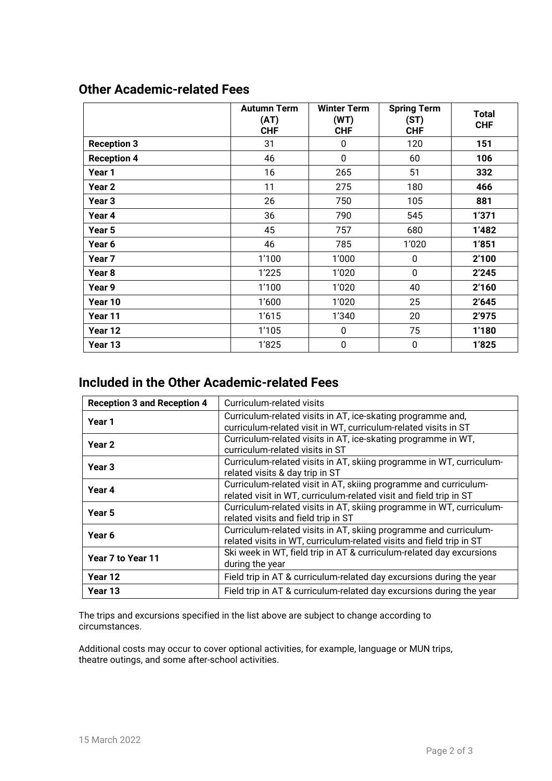|                    | <b>Autumn Term</b><br>(AT)<br><b>CHF</b> | <b>Winter Term</b><br>(WT)<br><b>CHF</b> | <b>Spring Term</b><br>(ST)<br><b>CHF</b> | <b>Total</b><br><b>CHF</b> |
|--------------------|------------------------------------------|------------------------------------------|------------------------------------------|----------------------------|
| <b>Reception 3</b> | 31                                       | 0                                        | 120                                      | 151                        |
| <b>Reception 4</b> | 46                                       | $\mathbf 0$                              | 60                                       | 106                        |
| Year 1             | 16                                       | 265                                      | 51                                       | 332                        |
| Year <sub>2</sub>  | 11                                       | 275                                      | 180                                      | 466                        |
| Year <sub>3</sub>  | 26                                       | 750                                      | 105                                      | 881                        |
| Year 4             | 36                                       | 790                                      | 545                                      | 1'371                      |
| Year 5             | 45                                       | 757                                      | 680                                      | 1'482                      |
| Year 6             | 46                                       | 785                                      | 1'020                                    | 1'851                      |
| Year <sub>7</sub>  | 1'100                                    | 1'000                                    | 0                                        | 2'100                      |
| Year 8             | 1'225                                    | 1'020                                    | 0                                        | 2'245                      |
| Year 9             | 1'100                                    | 1'020                                    | 40                                       | 2'160                      |
| Year 10            | 1'600                                    | 1'020                                    | 25                                       | 2'645                      |
| Year 11            | 1'615                                    | 1'340                                    | 20                                       | 2'975                      |
| Year 12            | 1'105                                    | $\mathbf 0$                              | 75                                       | 1'180                      |
| Year 13            | 1'825                                    | $\mathbf 0$                              | $\mathbf 0$                              | 1'825                      |

## **Other Academic-related Fees**

#### **Included in the Other Academic-related Fees**

| <b>Reception 3 and Reception 4</b> | Curriculum-related visits                                                                                                                 |
|------------------------------------|-------------------------------------------------------------------------------------------------------------------------------------------|
| Year 1                             | Curriculum-related visits in AT, ice-skating programme and,<br>curriculum-related visit in WT, curriculum-related visits in ST            |
| Year 2                             | Curriculum-related visits in AT, ice-skating programme in WT,<br>curriculum-related visits in ST                                          |
| Year <sub>3</sub>                  | Curriculum-related visits in AT, skiing programme in WT, curriculum-<br>related visits & day trip in ST                                   |
| Year 4                             | Curriculum-related visit in AT, skiing programme and curriculum-<br>related visit in WT, curriculum-related visit and field trip in ST    |
| Year 5                             | Curriculum-related visits in AT, skiing programme in WT, curriculum-<br>related visits and field trip in ST                               |
| Year 6                             | Curriculum-related visits in AT, skiing programme and curriculum-<br>related visits in WT, curriculum-related visits and field trip in ST |
| Year 7 to Year 11                  | Ski week in WT, field trip in AT & curriculum-related day excursions<br>during the year                                                   |
| Year 12                            | Field trip in AT & curriculum-related day excursions during the year                                                                      |
| Year 13                            | Field trip in AT & curriculum-related day excursions during the year                                                                      |

The trips and excursions specified in the list above are subject to change according to circumstances.

Additional costs may occur to cover optional activities, for example, language or MUN trips, theatre outings, and some after-school activities.